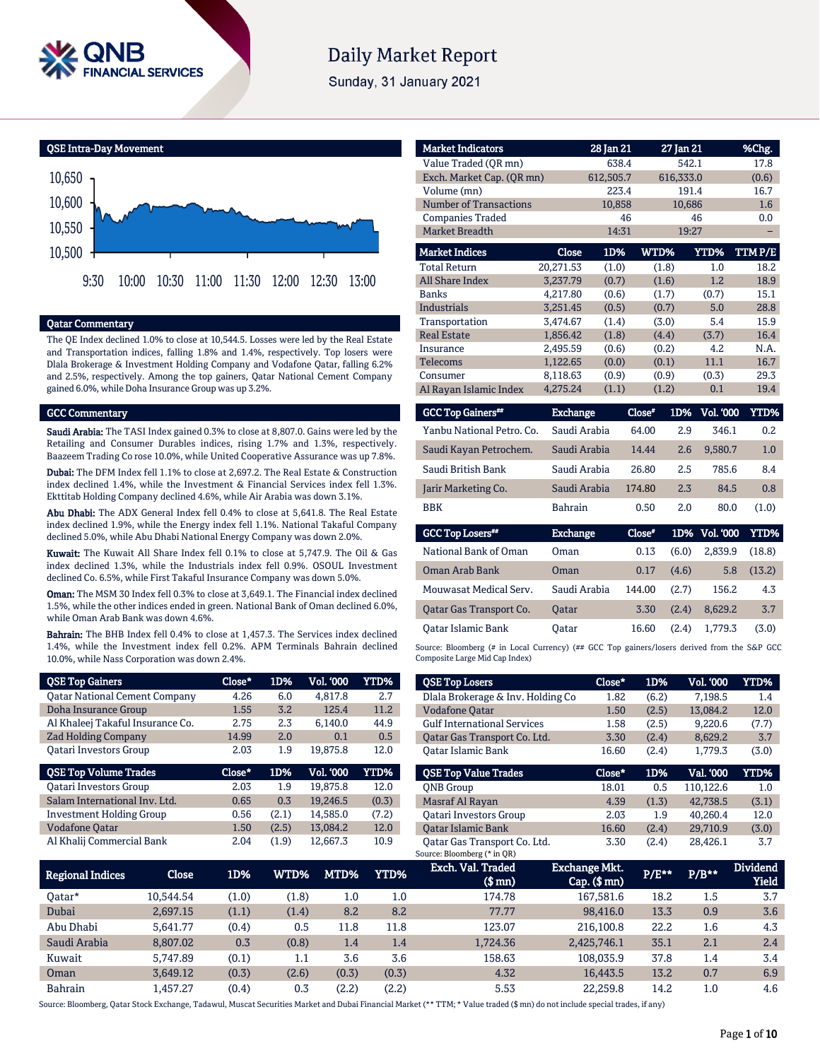

# **Daily Market Report**

Sunday, 31 January 2021

QSE Intra-Day Movement



# Qatar Commentary

The QE Index declined 1.0% to close at 10,544.5. Losses were led by the Real Estate and Transportation indices, falling 1.8% and 1.4%, respectively. Top losers were Dlala Brokerage & Investment Holding Company and Vodafone Qatar, falling 6.2% and 2.5%, respectively. Among the top gainers, Qatar National Cement Company gained 6.0%, while Doha Insurance Group was up 3.2%.

#### GCC Commentary

Saudi Arabia: The TASI Index gained 0.3% to close at 8,807.0. Gains were led by the Retailing and Consumer Durables indices, rising 1.7% and 1.3%, respectively. Baazeem Trading Co rose 10.0%, while United Cooperative Assurance was up 7.8%.

Dubai: The DFM Index fell 1.1% to close at 2,697.2. The Real Estate & Construction index declined 1.4%, while the Investment & Financial Services index fell 1.3%. Ekttitab Holding Company declined 4.6%, while Air Arabia was down 3.1%.

Abu Dhabi: The ADX General Index fell 0.4% to close at 5,641.8. The Real Estate index declined 1.9%, while the Energy index fell 1.1%. National Takaful Company declined 5.0%, while Abu Dhabi National Energy Company was down 2.0%.

Kuwait: The Kuwait All Share Index fell 0.1% to close at 5,747.9. The Oil & Gas index declined 1.3%, while the Industrials index fell 0.9%. OSOUL Investment declined Co. 6.5%, while First Takaful Insurance Company was down 5.0%.

Oman: The MSM 30 Index fell 0.3% to close at 3,649.1. The Financial index declined 1.5%, while the other indices ended in green. National Bank of Oman declined 6.0%, while Oman Arab Bank was down 4.6%.

Bahrain: The BHB Index fell 0.4% to close at 1,457.3. The Services index declined 1.4%, while the Investment index fell 0.2%. APM Terminals Bahrain declined 10.0%, while Nass Corporation was down 2.4%.

| <b>QSE Top Gainers</b>               | Close* | 1D%   | <b>Vol. '000</b> | <b>YTD%</b> |
|--------------------------------------|--------|-------|------------------|-------------|
| <b>Qatar National Cement Company</b> | 4.26   | 6.0   | 4.817.8          | 2.7         |
| Doha Insurance Group                 | 1.55   | 3.2   | 125.4            | 11.2        |
| Al Khaleej Takaful Insurance Co.     | 2.75   | 2.3   | 6,140.0          | 44.9        |
| <b>Zad Holding Company</b>           | 14.99  | 2.0   | 0.1              | 0.5         |
| <b>Oatari Investors Group</b>        | 2.03   | 1.9   | 19.875.8         | 12.0        |
|                                      |        |       |                  |             |
| <b>QSE Top Volume Trades</b>         | Close* | 1D%   | Vol. '000        | YTD%        |
| <b>Oatari Investors Group</b>        | 2.03   | 1.9   | 19.875.8         | 12.0        |
| Salam International Inv. Ltd.        | 0.65   | 0.3   | 19,246.5         | (0.3)       |
| <b>Investment Holding Group</b>      | 0.56   | (2.1) | 14.585.0         | (7.2)       |
| <b>Vodafone Qatar</b>                | 1.50   | (2.5) | 13,084.2         | 12.0        |

| <b>Market Indicators</b>      |              | 28 Jan 21 |        | 27 Jan 21               | %Chg.       |
|-------------------------------|--------------|-----------|--------|-------------------------|-------------|
| Value Traded (QR mn)          |              | 638.4     |        | 542.1                   | 17.8        |
| Exch. Market Cap. (QR mn)     |              | 612,505.7 |        | 616,333.0               | (0.6)       |
| Volume (mn)                   |              | 223.4     |        | 191.4                   | 16.7        |
| <b>Number of Transactions</b> |              | 10,858    |        | 10,686                  | 1.6         |
| <b>Companies Traded</b>       |              | 46        |        | 46                      | 0.0         |
| <b>Market Breadth</b>         |              | 14:31     |        | 19:27                   |             |
| <b>Market Indices</b>         | <b>Close</b> | 1D%       | WTD%   | YTD%                    | TTMP/E      |
| <b>Total Return</b>           | 20,271.53    | (1.0)     | (1.8)  | 1.0                     | 18.2        |
| <b>All Share Index</b>        | 3,237.79     | (0.7)     | (1.6)  | 1.2                     | 18.9        |
| <b>Banks</b>                  | 4,217.80     | (0.6)     | (1.7)  | (0.7)                   | 15.1        |
| <b>Industrials</b>            | 3,251.45     | (0.5)     | (0.7)  | 5.0                     | 28.8        |
| Transportation                | 3,474.67     | (1.4)     | (3.0)  | 5.4                     | 15.9        |
| <b>Real Estate</b>            | 1,856.42     | (1.8)     | (4.4)  | (3.7)                   | 16.4        |
| Insurance                     | 2,495.59     | (0.6)     | (0.2)  | 4.2                     | N.A.        |
| <b>Telecoms</b>               | 1,122.65     | (0.0)     | (0.1)  | 11.1                    | 16.7        |
| Consumer                      | 8,118.63     | (0.9)     | (0.9)  | (0.3)                   | 29.3        |
| Al Rayan Islamic Index        | 4,275.24     | (1.1)     | (1.2)  | 0.1                     | 19.4        |
| <b>GCC Top Gainers**</b>      | Exchange     |           | Close* | <b>Vol. '000</b><br>1D% | <b>YTD%</b> |
| Yanbu National Petro. Co.     | Saudi Arabia |           | 64.00  | 2.9<br>346.1            | 0.2         |

| Yanbu National Petro. Co. | Saudi Arabia   | 64.00  | 2.9 | 346.1   | 0.2   |
|---------------------------|----------------|--------|-----|---------|-------|
| Saudi Kayan Petrochem.    | Saudi Arabia   | 14.44  | 2.6 | 9.580.7 | 1.0   |
| Saudi British Bank        | Saudi Arabia   | 26.80  | 2.5 | 785.6   | 8.4   |
| Jarir Marketing Co.       | Saudi Arabia   | 174.80 | 2.3 | 84.5    | 0.8   |
| <b>BBK</b>                | <b>Bahrain</b> | 0.50   | 2.0 | 80.0    | (1.0) |

| <b>GCC Top Losers**</b> | <b>Exchange</b> | Close* |       | 1D% Vol. 000 | YTD%   |
|-------------------------|-----------------|--------|-------|--------------|--------|
| National Bank of Oman   | Oman            | 0.13   | (6.0) | 2.839.9      | (18.8) |
| Oman Arab Bank          | Oman            | 0.17   | (4.6) | 5.8          | (13.2) |
| Mouwasat Medical Serv.  | Saudi Arabia    | 144.00 | (2.7) | 156.2        | 4.3    |
| Oatar Gas Transport Co. | <b>Oatar</b>    | 3.30   | (2.4) | 8.629.2      | 3.7    |
| Oatar Islamic Bank      | Oatar           | 16.60  | (2.4) | 1.779.3      | (3.0)  |

Source: Bloomberg (# in Local Currency) (## GCC Top gainers/losers derived from the S&P GCC Composite Large Mid Cap Index)

| <b>QSE Top Losers</b>              | Close* | 1D%   | <b>Vol. '000</b> | YTD%  |
|------------------------------------|--------|-------|------------------|-------|
| Dlala Brokerage & Inv. Holding Co  | 1.82   | (6.2) | 7.198.5          | 1.4   |
| <b>Vodafone Qatar</b>              | 1.50   | (2.5) | 13.084.2         | 12.0  |
| <b>Gulf International Services</b> | 1.58   | (2.5) | 9.220.6          | (7.7) |
| Qatar Gas Transport Co. Ltd.       | 3.30   | (2.4) | 8.629.2          | 3.7   |
| Oatar Islamic Bank                 | 16.60  | (2.4) | 1.779.3          | (3.0) |
|                                    |        |       |                  |       |
|                                    |        |       |                  |       |
| <b>OSE Top Value Trades</b>        | Close* | 1D%   | Val. '000        | YTD%  |
| <b>ONB</b> Group                   | 18.01  | 0.5   | 110.122.6        | 1.0   |
| Masraf Al Rayan                    | 4.39   | (1.3) | 42.738.5         | (3.1) |
| <b>Oatari Investors Group</b>      | 2.03   | 1.9   | 40.260.4         | 12.0  |
| <b>Oatar Islamic Bank</b>          | 16.60  | (2.4) | 29.710.9         | (3.0) |

| Regional Indices | Close     | 1D%   | WTD%    | MTD%  | YTD%    | Exch. Val. Traded<br>$$$ mn $)$ | <b>Exchange Mkt.</b><br>$Cap.$ (\$ mn) | P/E** | $P/B***$ | <b>Dividend</b><br><b>Yield</b> |
|------------------|-----------|-------|---------|-------|---------|---------------------------------|----------------------------------------|-------|----------|---------------------------------|
| Oatar*           | 10.544.54 | (1.0) | (1.8)   | 1.0   | $1.0\,$ | 174.78                          | 167.581.6                              | 18.2  | 1.5      | 3.7                             |
| Dubai            | 2.697.15  | (1.1) | (1.4)   | 8.2   | 8.2     | 77.77                           | 98,416.0                               | 13.3  | 0.9      | 3.6                             |
| Abu Dhabi        | 5.641.77  | (0.4) | 0.5     | 11.8  | 11.8    | 123.07                          | 216,100.8                              | 22.2  | 1.6      | 4.3                             |
| Saudi Arabia     | 8.807.02  | 0.3   | (0.8)   | 1.4   | 1.4     | 1.724.36                        | 2,425,746.1                            | 35.1  | 2.1      | 2.4                             |
| Kuwait           | 5.747.89  | (0.1) | $1.1\,$ | 3.6   | 3.6     | 158.63                          | 108.035.9                              | 37.8  | 1.4      | 3.4                             |
| Oman             | 3.649.12  | (0.3) | (2.6)   | (0.3) | (0.3)   | 4.32                            | 16.443.5                               | 13.2  | 0.7      | 6.9                             |
| <b>Bahrain</b>   | .457.27   | (0.4) | 0.3     | (2.2) | (2.2)   | 5.53                            | 22,259.8                               | 14.2  | 1.0      | 4.6                             |

Source: Bloomberg, Qatar Stock Exchange, Tadawul, Muscat Securities Market and Dubai Financial Market (\*\* TTM; \* Value traded (\$ mn) do not include special trades, if any)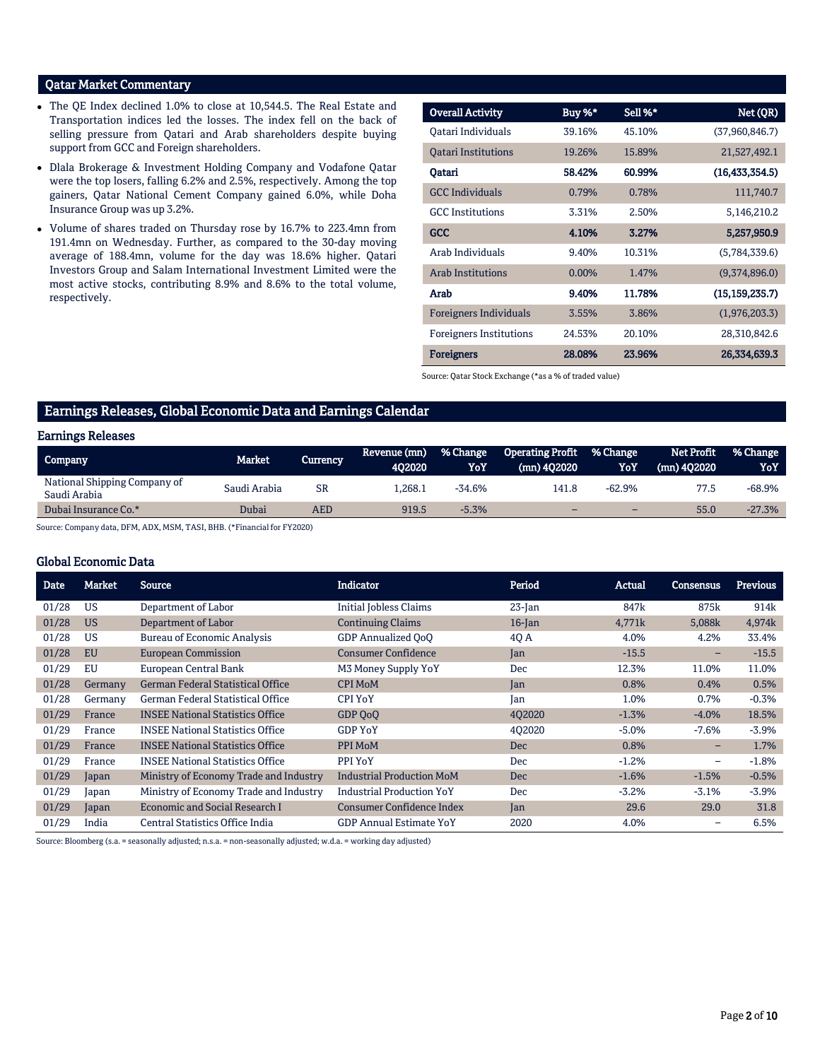# Qatar Market Commentary

- The QE Index declined 1.0% to close at 10,544.5. The Real Estate and Transportation indices led the losses. The index fell on the back of selling pressure from Qatari and Arab shareholders despite buying support from GCC and Foreign shareholders.
- Dlala Brokerage & Investment Holding Company and Vodafone Qatar were the top losers, falling 6.2% and 2.5%, respectively. Among the top gainers, Qatar National Cement Company gained 6.0%, while Doha Insurance Group was up 3.2%.
- Volume of shares traded on Thursday rose by 16.7% to 223.4mn from 191.4mn on Wednesday. Further, as compared to the 30-day moving average of 188.4mn, volume for the day was 18.6% higher. Qatari Investors Group and Salam International Investment Limited were the most active stocks, contributing 8.9% and 8.6% to the total volume, respectively.

| <b>Overall Activity</b>        | Buy %*   | Sell %* | Net (QR)         |
|--------------------------------|----------|---------|------------------|
| Oatari Individuals             | 39.16%   | 45.10%  | (37,960,846.7)   |
| <b>Oatari Institutions</b>     | 19.26%   | 15.89%  | 21,527,492.1     |
| Oatari                         | 58.42%   | 60.99%  | (16, 433, 354.5) |
| <b>GCC</b> Individuals         | 0.79%    | 0.78%   | 111,740.7        |
| <b>GCC</b> Institutions        | 3.31%    | 2.50%   | 5,146,210.2      |
| <b>GCC</b>                     | 4.10%    | 3.27%   | 5,257,950.9      |
| Arab Individuals               | 9.40%    | 10.31%  | (5,784,339.6)    |
| <b>Arab Institutions</b>       | $0.00\%$ | 1.47%   | (9,374,896.0)    |
| Arab                           | 9.40%    | 11.78%  | (15, 159, 235.7) |
| <b>Foreigners Individuals</b>  | 3.55%    | 3.86%   | (1,976,203.3)    |
| <b>Foreigners Institutions</b> | 24.53%   | 20.10%  | 28,310,842.6     |
| <b>Foreigners</b>              | 28.08%   | 23.96%  | 26,334,639.3     |

Source: Qatar Stock Exchange (\*as a % of traded value)

# Earnings Releases, Global Economic Data and Earnings Calendar

#### Earnings Releases

| Company                                      | Market       | Currencv   | Revenue (mn)<br>402020 | % Change<br>YoY | <b>Operating Profit</b><br>$(mn)$ 402020 | % Change<br>YoY          | Net Profit<br>$(mn)$ 402020 | % Change<br>YoY |
|----------------------------------------------|--------------|------------|------------------------|-----------------|------------------------------------------|--------------------------|-----------------------------|-----------------|
| National Shipping Company of<br>Saudi Arabia | Saudi Arabia | SR         | .268.1                 | $-34.6%$        | 141.8                                    | $-62.9%$                 | 77.5                        | -68.9%          |
| Dubai Insurance Co.*                         | Dubai        | <b>AED</b> | 919.5                  | $-5.3%$         | -                                        | $\overline{\phantom{0}}$ | 55.0                        | $-27.3%$        |
|                                              |              |            |                        |                 |                                          |                          |                             |                 |

Source: Company data, DFM, ADX, MSM, TASI, BHB. (\*Financial for FY2020)

### Global Economic Data

| <b>Date</b> | Market    | <b>Source</b>                            | Indicator                        | Period     | Actual           | <b>Consensus</b>         | <b>Previous</b>  |
|-------------|-----------|------------------------------------------|----------------------------------|------------|------------------|--------------------------|------------------|
| 01/28       | <b>US</b> | Department of Labor                      | <b>Initial Jobless Claims</b>    | $23$ -Jan  | 847 <sub>k</sub> | 875k                     | 914 <sub>k</sub> |
| 01/28       | <b>US</b> | Department of Labor                      | <b>Continuing Claims</b>         | $16$ -Jan  | 4,771k           | 5,088k                   | 4,974k           |
| 01/28       | US        | <b>Bureau of Economic Analysis</b>       | GDP Annualized OoO               | 40 A       | 4.0%             | 4.2%                     | 33.4%            |
| 01/28       | <b>EU</b> | <b>European Commission</b>               | <b>Consumer Confidence</b>       | Jan        | $-15.5$          | $-$                      | $-15.5$          |
| 01/29       | EU        | European Central Bank                    | M3 Money Supply YoY              | Dec        | 12.3%            | 11.0%                    | 11.0%            |
| 01/28       | Germany   | <b>German Federal Statistical Office</b> | <b>CPI MoM</b>                   | Jan        | 0.8%             | 0.4%                     | 0.5%             |
| 01/28       | Germany   | German Federal Statistical Office        | <b>CPI YoY</b>                   | Jan        | 1.0%             | 0.7%                     | $-0.3%$          |
| 01/29       | France    | <b>INSEE National Statistics Office</b>  | GDP OoO                          | 402020     | $-1.3%$          | $-4.0%$                  | 18.5%            |
| 01/29       | France    | <b>INSEE National Statistics Office</b>  | <b>GDP YoY</b>                   | 402020     | $-5.0\%$         | $-7.6\%$                 | $-3.9%$          |
| 01/29       | France    | <b>INSEE National Statistics Office</b>  | PPI MoM                          | Dec.       | 0.8%             | $-$                      | 1.7%             |
| 01/29       | France    | <b>INSEE National Statistics Office</b>  | PPI YoY                          | Dec        | $-1.2%$          | $\overline{\phantom{0}}$ | $-1.8%$          |
| 01/29       | Japan     | Ministry of Economy Trade and Industry   | <b>Industrial Production MoM</b> | <b>Dec</b> | $-1.6%$          | $-1.5%$                  | $-0.5%$          |
| 01/29       | Japan     | Ministry of Economy Trade and Industry   | <b>Industrial Production YoY</b> | Dec        | $-3.2%$          | $-3.1%$                  | $-3.9%$          |
| 01/29       | Japan     | <b>Economic and Social Research I</b>    | <b>Consumer Confidence Index</b> | Jan        | 29.6             | 29.0                     | 31.8             |
| 01/29       | India     | Central Statistics Office India          | <b>GDP Annual Estimate YoY</b>   | 2020       | 4.0%             | -                        | 6.5%             |

Source: Bloomberg (s.a. = seasonally adjusted; n.s.a. = non-seasonally adjusted; w.d.a. = working day adjusted)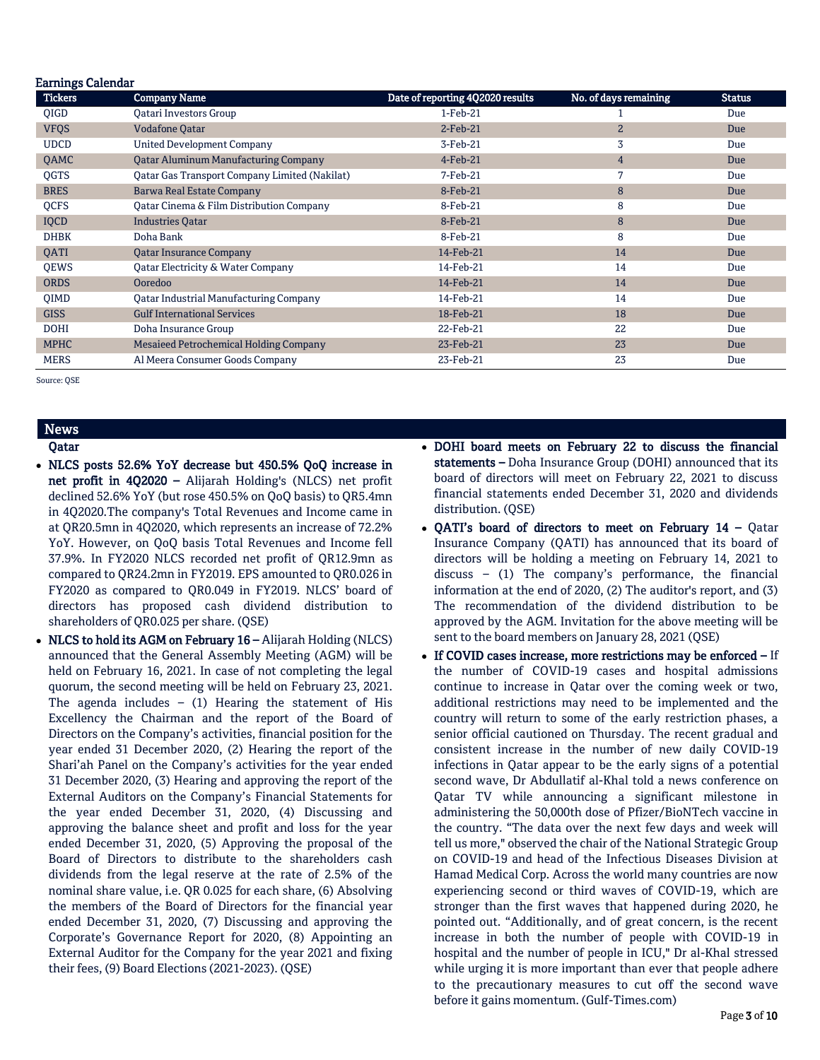| <b>Earnings Calendar</b> |                                                      |                                  |                       |               |
|--------------------------|------------------------------------------------------|----------------------------------|-----------------------|---------------|
| <b>Tickers</b>           | <b>Company Name</b>                                  | Date of reporting 4Q2020 results | No. of days remaining | <b>Status</b> |
| QIGD                     | <b>Qatari Investors Group</b>                        | $1-Feb-21$                       |                       | Due           |
| <b>VFQS</b>              | <b>Vodafone Qatar</b>                                | $2-Feb-21$                       | $\overline{2}$        | Due           |
| <b>UDCD</b>              | United Development Company                           | 3-Feb-21                         | 3                     | Due           |
| QAMC                     | <b>Qatar Aluminum Manufacturing Company</b>          | $4$ -Feb-21                      | $\overline{4}$        | Due           |
| <b>OGTS</b>              | <b>Qatar Gas Transport Company Limited (Nakilat)</b> | 7-Feb-21                         | 7                     | Due           |
| <b>BRES</b>              | <b>Barwa Real Estate Company</b>                     | 8-Feb-21                         | 8                     | Due           |
| QCFS                     | Qatar Cinema & Film Distribution Company             | 8-Feb-21                         | 8                     | Due           |
| IQCD                     | <b>Industries Qatar</b>                              | 8-Feb-21                         | 8                     | Due           |
| <b>DHBK</b>              | Doha Bank                                            | 8-Feb-21                         | 8                     | Due           |
| QATI                     | <b>Qatar Insurance Company</b>                       | 14-Feb-21                        | 14                    | Due           |
| QEWS                     | Qatar Electricity & Water Company                    | 14-Feb-21                        | 14                    | Due           |
| <b>ORDS</b>              | Ooredoo                                              | 14-Feb-21                        | 14                    | Due           |
| QIMD                     | <b>Qatar Industrial Manufacturing Company</b>        | 14-Feb-21                        | 14                    | Due           |
| <b>GISS</b>              | <b>Gulf International Services</b>                   | 18-Feb-21                        | 18                    | Due           |
| <b>DOHI</b>              | Doha Insurance Group                                 | 22-Feb-21                        | 22                    | Due           |
| <b>MPHC</b>              | Mesaieed Petrochemical Holding Company               | 23-Feb-21                        | 23                    | Due           |
| <b>MERS</b>              | Al Meera Consumer Goods Company                      | 23-Feb-21                        | 23                    | Due           |

Source: QSE

# News

#### Qatar

- NLCS posts 52.6% YoY decrease but 450.5% QoQ increase in net profit in 4Q2020 – Alijarah Holding's (NLCS) net profit declined 52.6% YoY (but rose 450.5% on QoQ basis) to QR5.4mn in 4Q2020.The company's Total Revenues and Income came in at QR20.5mn in 4Q2020, which represents an increase of 72.2% YoY. However, on QoQ basis Total Revenues and Income fell 37.9%. In FY2020 NLCS recorded net profit of QR12.9mn as compared to QR24.2mn in FY2019. EPS amounted to QR0.026 in FY2020 as compared to QR0.049 in FY2019. NLCS' board of directors has proposed cash dividend distribution to shareholders of QR0.025 per share. (QSE)
- NLCS to hold its AGM on February 16 Alijarah Holding (NLCS) announced that the General Assembly Meeting (AGM) will be held on February 16, 2021. In case of not completing the legal quorum, the second meeting will be held on February 23, 2021. The agenda includes  $-$  (1) Hearing the statement of His Excellency the Chairman and the report of the Board of Directors on the Company's activities, financial position for the year ended 31 December 2020, (2) Hearing the report of the Shari'ah Panel on the Company's activities for the year ended 31 December 2020, (3) Hearing and approving the report of the External Auditors on the Company's Financial Statements for the year ended December 31, 2020, (4) Discussing and approving the balance sheet and profit and loss for the year ended December 31, 2020, (5) Approving the proposal of the Board of Directors to distribute to the shareholders cash dividends from the legal reserve at the rate of 2.5% of the nominal share value, i.e. QR 0.025 for each share, (6) Absolving the members of the Board of Directors for the financial year ended December 31, 2020, (7) Discussing and approving the Corporate's Governance Report for 2020, (8) Appointing an External Auditor for the Company for the year 2021 and fixing their fees, (9) Board Elections (2021-2023). (QSE)
- DOHI board meets on February 22 to discuss the financial statements – Doha Insurance Group (DOHI) announced that its board of directors will meet on February 22, 2021 to discuss financial statements ended December 31, 2020 and dividends distribution. (OSE)
- QATI's board of directors to meet on February 14 Qatar Insurance Company (QATI) has announced that its board of directors will be holding a meeting on February 14, 2021 to discuss – (1) The company's performance, the financial information at the end of 2020, (2) The auditor's report, and (3) The recommendation of the dividend distribution to be approved by the AGM. Invitation for the above meeting will be sent to the board members on January 28, 2021 (QSE)
- $\bullet$  If COVID cases increase, more restrictions may be enforced If the number of COVID-19 cases and hospital admissions continue to increase in Qatar over the coming week or two, additional restrictions may need to be implemented and the country will return to some of the early restriction phases, a senior official cautioned on Thursday. The recent gradual and consistent increase in the number of new daily COVID-19 infections in Qatar appear to be the early signs of a potential second wave, Dr Abdullatif al-Khal told a news conference on Qatar TV while announcing a significant milestone in administering the 50,000th dose of Pfizer/BioNTech vaccine in the country. "The data over the next few days and week will tell us more," observed the chair of the National Strategic Group on COVID-19 and head of the Infectious Diseases Division at Hamad Medical Corp. Across the world many countries are now experiencing second or third waves of COVID-19, which are stronger than the first waves that happened during 2020, he pointed out. "Additionally, and of great concern, is the recent increase in both the number of people with COVID-19 in hospital and the number of people in ICU," Dr al-Khal stressed while urging it is more important than ever that people adhere to the precautionary measures to cut off the second wave before it gains momentum. (Gulf-Times.com)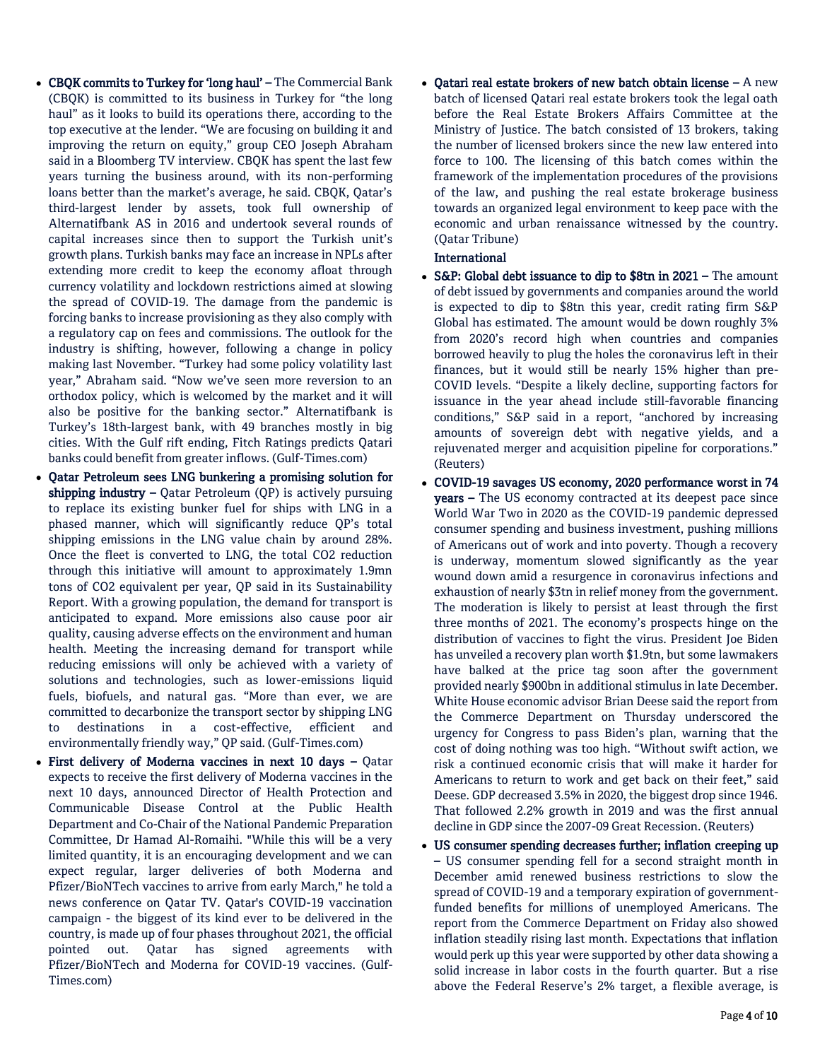- CBQK commits to Turkey for 'long haul' The Commercial Bank (CBQK) is committed to its business in Turkey for "the long haul" as it looks to build its operations there, according to the top executive at the lender. "We are focusing on building it and improving the return on equity," group CEO Joseph Abraham said in a Bloomberg TV interview. CBQK has spent the last few years turning the business around, with its non-performing loans better than the market's average, he said. CBQK, Qatar's third-largest lender by assets, took full ownership of Alternatifbank AS in 2016 and undertook several rounds of capital increases since then to support the Turkish unit's growth plans. Turkish banks may face an increase in NPLs after extending more credit to keep the economy afloat through currency volatility and lockdown restrictions aimed at slowing the spread of COVID-19. The damage from the pandemic is forcing banks to increase provisioning as they also comply with a regulatory cap on fees and commissions. The outlook for the industry is shifting, however, following a change in policy making last November. "Turkey had some policy volatility last year," Abraham said. "Now we've seen more reversion to an orthodox policy, which is welcomed by the market and it will also be positive for the banking sector." Alternatifbank is Turkey's 18th-largest bank, with 49 branches mostly in big cities. With the Gulf rift ending, Fitch Ratings predicts Qatari banks could benefit from greater inflows. (Gulf-Times.com)
- Qatar Petroleum sees LNG bunkering a promising solution for shipping industry  $-$  Qatar Petroleum (QP) is actively pursuing to replace its existing bunker fuel for ships with LNG in a phased manner, which will significantly reduce QP's total shipping emissions in the LNG value chain by around 28%. Once the fleet is converted to LNG, the total CO2 reduction through this initiative will amount to approximately 1.9mn tons of CO2 equivalent per year, QP said in its Sustainability Report. With a growing population, the demand for transport is anticipated to expand. More emissions also cause poor air quality, causing adverse effects on the environment and human health. Meeting the increasing demand for transport while reducing emissions will only be achieved with a variety of solutions and technologies, such as lower-emissions liquid fuels, biofuels, and natural gas. "More than ever, we are committed to decarbonize the transport sector by shipping LNG to destinations in a cost-effective, efficient and environmentally friendly way," QP said. (Gulf-Times.com)
- First delivery of Moderna vaccines in next 10 days Qatar expects to receive the first delivery of Moderna vaccines in the next 10 days, announced Director of Health Protection and Communicable Disease Control at the Public Health Department and Co-Chair of the National Pandemic Preparation Committee, Dr Hamad Al-Romaihi. "While this will be a very limited quantity, it is an encouraging development and we can expect regular, larger deliveries of both Moderna and Pfizer/BioNTech vaccines to arrive from early March," he told a news conference on Qatar TV. Qatar's COVID-19 vaccination campaign - the biggest of its kind ever to be delivered in the country, is made up of four phases throughout 2021, the official pointed out. Qatar has signed agreements with Pfizer/BioNTech and Moderna for COVID-19 vaccines. (Gulf-Times.com)

• Qatari real estate brokers of new batch obtain license  $- A$  new batch of licensed Qatari real estate brokers took the legal oath before the Real Estate Brokers Affairs Committee at the Ministry of Justice. The batch consisted of 13 brokers, taking the number of licensed brokers since the new law entered into force to 100. The licensing of this batch comes within the framework of the implementation procedures of the provisions of the law, and pushing the real estate brokerage business towards an organized legal environment to keep pace with the economic and urban renaissance witnessed by the country. (Qatar Tribune)

# International

- S&P: Global debt issuance to dip to \$8tn in 2021 The amount of debt issued by governments and companies around the world is expected to dip to \$8tn this year, credit rating firm S&P Global has estimated. The amount would be down roughly 3% from 2020's record high when countries and companies borrowed heavily to plug the holes the coronavirus left in their finances, but it would still be nearly 15% higher than pre-COVID levels. "Despite a likely decline, supporting factors for issuance in the year ahead include still-favorable financing conditions," S&P said in a report, "anchored by increasing amounts of sovereign debt with negative yields, and a rejuvenated merger and acquisition pipeline for corporations." (Reuters)
- COVID-19 savages US economy, 2020 performance worst in 74 years – The US economy contracted at its deepest pace since World War Two in 2020 as the COVID-19 pandemic depressed consumer spending and business investment, pushing millions of Americans out of work and into poverty. Though a recovery is underway, momentum slowed significantly as the year wound down amid a resurgence in coronavirus infections and exhaustion of nearly \$3tn in relief money from the government. The moderation is likely to persist at least through the first three months of 2021. The economy's prospects hinge on the distribution of vaccines to fight the virus. President Joe Biden has unveiled a recovery plan worth \$1.9tn, but some lawmakers have balked at the price tag soon after the government provided nearly \$900bn in additional stimulus in late December. White House economic advisor Brian Deese said the report from the Commerce Department on Thursday underscored the urgency for Congress to pass Biden's plan, warning that the cost of doing nothing was too high. "Without swift action, we risk a continued economic crisis that will make it harder for Americans to return to work and get back on their feet," said Deese. GDP decreased 3.5% in 2020, the biggest drop since 1946. That followed 2.2% growth in 2019 and was the first annual decline in GDP since the 2007-09 Great Recession. (Reuters)
- US consumer spending decreases further; inflation creeping up – US consumer spending fell for a second straight month in December amid renewed business restrictions to slow the spread of COVID-19 and a temporary expiration of governmentfunded benefits for millions of unemployed Americans. The report from the Commerce Department on Friday also showed inflation steadily rising last month. Expectations that inflation would perk up this year were supported by other data showing a solid increase in labor costs in the fourth quarter. But a rise above the Federal Reserve's 2% target, a flexible average, is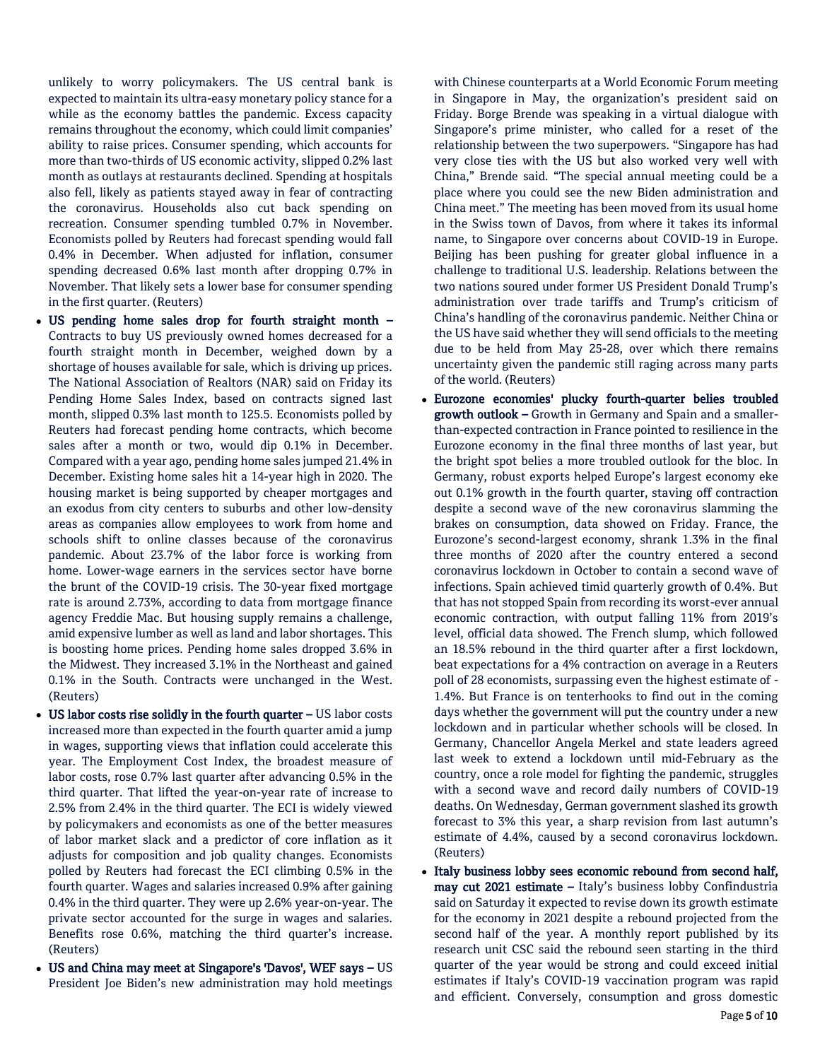unlikely to worry policymakers. The US central bank is expected to maintain its ultra-easy monetary policy stance for a while as the economy battles the pandemic. Excess capacity remains throughout the economy, which could limit companies' ability to raise prices. Consumer spending, which accounts for more than two-thirds of US economic activity, slipped 0.2% last month as outlays at restaurants declined. Spending at hospitals also fell, likely as patients stayed away in fear of contracting the coronavirus. Households also cut back spending on recreation. Consumer spending tumbled 0.7% in November. Economists polled by Reuters had forecast spending would fall 0.4% in December. When adjusted for inflation, consumer spending decreased 0.6% last month after dropping 0.7% in November. That likely sets a lower base for consumer spending in the first quarter. (Reuters)

- US pending home sales drop for fourth straight month Contracts to buy US previously owned homes decreased for a fourth straight month in December, weighed down by a shortage of houses available for sale, which is driving up prices. The National Association of Realtors (NAR) said on Friday its Pending Home Sales Index, based on contracts signed last month, slipped 0.3% last month to 125.5. Economists polled by Reuters had forecast pending home contracts, which become sales after a month or two, would dip 0.1% in December. Compared with a year ago, pending home sales jumped 21.4% in December. Existing home sales hit a 14-year high in 2020. The housing market is being supported by cheaper mortgages and an exodus from city centers to suburbs and other low-density areas as companies allow employees to work from home and schools shift to online classes because of the coronavirus pandemic. About 23.7% of the labor force is working from home. Lower-wage earners in the services sector have borne the brunt of the COVID-19 crisis. The 30-year fixed mortgage rate is around 2.73%, according to data from mortgage finance agency Freddie Mac. But housing supply remains a challenge, amid expensive lumber as well as land and labor shortages. This is boosting home prices. Pending home sales dropped 3.6% in the Midwest. They increased 3.1% in the Northeast and gained 0.1% in the South. Contracts were unchanged in the West. (Reuters)
- US labor costs rise solidly in the fourth quarter US labor costs increased more than expected in the fourth quarter amid a jump in wages, supporting views that inflation could accelerate this year. The Employment Cost Index, the broadest measure of labor costs, rose 0.7% last quarter after advancing 0.5% in the third quarter. That lifted the year-on-year rate of increase to 2.5% from 2.4% in the third quarter. The ECI is widely viewed by policymakers and economists as one of the better measures of labor market slack and a predictor of core inflation as it adjusts for composition and job quality changes. Economists polled by Reuters had forecast the ECI climbing 0.5% in the fourth quarter. Wages and salaries increased 0.9% after gaining 0.4% in the third quarter. They were up 2.6% year-on-year. The private sector accounted for the surge in wages and salaries. Benefits rose 0.6%, matching the third quarter's increase. (Reuters)
- US and China may meet at Singapore's 'Davos', WEF says US President Joe Biden's new administration may hold meetings

with Chinese counterparts at a World Economic Forum meeting in Singapore in May, the organization's president said on Friday. Borge Brende was speaking in a virtual dialogue with Singapore's prime minister, who called for a reset of the relationship between the two superpowers. "Singapore has had very close ties with the US but also worked very well with China," Brende said. "The special annual meeting could be a place where you could see the new Biden administration and China meet." The meeting has been moved from its usual home in the Swiss town of Davos, from where it takes its informal name, to Singapore over concerns about COVID-19 in Europe. Beijing has been pushing for greater global influence in a challenge to traditional U.S. leadership. Relations between the two nations soured under former US President Donald Trump's administration over trade tariffs and Trump's criticism of China's handling of the coronavirus pandemic. Neither China or the US have said whether they will send officials to the meeting due to be held from May 25-28, over which there remains uncertainty given the pandemic still raging across many parts of the world. (Reuters)

- Eurozone economies' plucky fourth-quarter belies troubled growth outlook – Growth in Germany and Spain and a smallerthan-expected contraction in France pointed to resilience in the Eurozone economy in the final three months of last year, but the bright spot belies a more troubled outlook for the bloc. In Germany, robust exports helped Europe's largest economy eke out 0.1% growth in the fourth quarter, staving off contraction despite a second wave of the new coronavirus slamming the brakes on consumption, data showed on Friday. France, the Eurozone's second-largest economy, shrank 1.3% in the final three months of 2020 after the country entered a second coronavirus lockdown in October to contain a second wave of infections. Spain achieved timid quarterly growth of 0.4%. But that has not stopped Spain from recording its worst-ever annual economic contraction, with output falling 11% from 2019's level, official data showed. The French slump, which followed an 18.5% rebound in the third quarter after a first lockdown, beat expectations for a 4% contraction on average in a Reuters poll of 28 economists, surpassing even the highest estimate of - 1.4%. But France is on tenterhooks to find out in the coming days whether the government will put the country under a new lockdown and in particular whether schools will be closed. In Germany, Chancellor Angela Merkel and state leaders agreed last week to extend a lockdown until mid-February as the country, once a role model for fighting the pandemic, struggles with a second wave and record daily numbers of COVID-19 deaths. On Wednesday, German government slashed its growth forecast to 3% this year, a sharp revision from last autumn's estimate of 4.4%, caused by a second coronavirus lockdown. (Reuters)
- Italy business lobby sees economic rebound from second half, may cut 2021 estimate – Italy's business lobby Confindustria said on Saturday it expected to revise down its growth estimate for the economy in 2021 despite a rebound projected from the second half of the year. A monthly report published by its research unit CSC said the rebound seen starting in the third quarter of the year would be strong and could exceed initial estimates if Italy's COVID-19 vaccination program was rapid and efficient. Conversely, consumption and gross domestic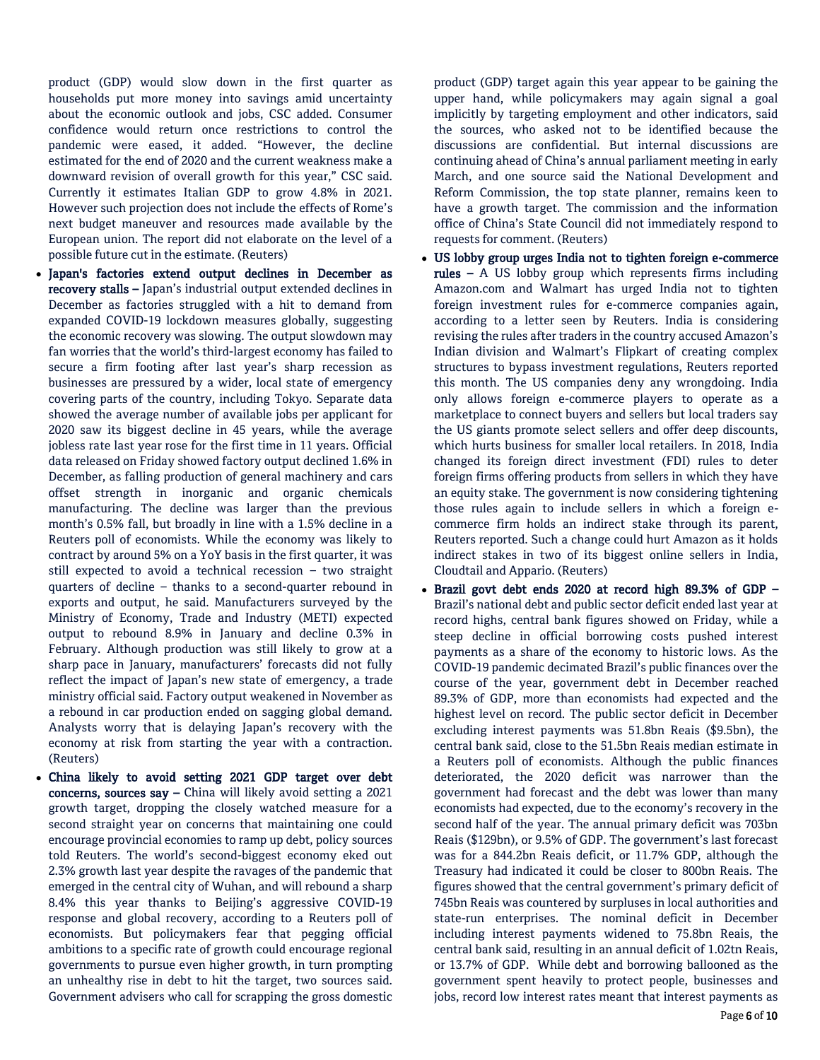product (GDP) would slow down in the first quarter as households put more money into savings amid uncertainty about the economic outlook and jobs, CSC added. Consumer confidence would return once restrictions to control the pandemic were eased, it added. "However, the decline estimated for the end of 2020 and the current weakness make a downward revision of overall growth for this year," CSC said. Currently it estimates Italian GDP to grow 4.8% in 2021. However such projection does not include the effects of Rome's next budget maneuver and resources made available by the European union. The report did not elaborate on the level of a possible future cut in the estimate. (Reuters)

- Japan's factories extend output declines in December as recovery stalls – Japan's industrial output extended declines in December as factories struggled with a hit to demand from expanded COVID-19 lockdown measures globally, suggesting the economic recovery was slowing. The output slowdown may fan worries that the world's third-largest economy has failed to secure a firm footing after last year's sharp recession as businesses are pressured by a wider, local state of emergency covering parts of the country, including Tokyo. Separate data showed the average number of available jobs per applicant for 2020 saw its biggest decline in 45 years, while the average jobless rate last year rose for the first time in 11 years. Official data released on Friday showed factory output declined 1.6% in December, as falling production of general machinery and cars offset strength in inorganic and organic chemicals manufacturing. The decline was larger than the previous month's 0.5% fall, but broadly in line with a 1.5% decline in a Reuters poll of economists. While the economy was likely to contract by around 5% on a YoY basis in the first quarter, it was still expected to avoid a technical recession – two straight quarters of decline – thanks to a second-quarter rebound in exports and output, he said. Manufacturers surveyed by the Ministry of Economy, Trade and Industry (METI) expected output to rebound 8.9% in January and decline 0.3% in February. Although production was still likely to grow at a sharp pace in January, manufacturers' forecasts did not fully reflect the impact of Japan's new state of emergency, a trade ministry official said. Factory output weakened in November as a rebound in car production ended on sagging global demand. Analysts worry that is delaying Japan's recovery with the economy at risk from starting the year with a contraction. (Reuters)
- China likely to avoid setting 2021 GDP target over debt concerns, sources say – China will likely avoid setting a 2021 growth target, dropping the closely watched measure for a second straight year on concerns that maintaining one could encourage provincial economies to ramp up debt, policy sources told Reuters. The world's second-biggest economy eked out 2.3% growth last year despite the ravages of the pandemic that emerged in the central city of Wuhan, and will rebound a sharp 8.4% this year thanks to Beijing's aggressive COVID-19 response and global recovery, according to a Reuters poll of economists. But policymakers fear that pegging official ambitions to a specific rate of growth could encourage regional governments to pursue even higher growth, in turn prompting an unhealthy rise in debt to hit the target, two sources said. Government advisers who call for scrapping the gross domestic

product (GDP) target again this year appear to be gaining the upper hand, while policymakers may again signal a goal implicitly by targeting employment and other indicators, said the sources, who asked not to be identified because the discussions are confidential. But internal discussions are continuing ahead of China's annual parliament meeting in early March, and one source said the National Development and Reform Commission, the top state planner, remains keen to have a growth target. The commission and the information office of China's State Council did not immediately respond to requests for comment. (Reuters)

- US lobby group urges India not to tighten foreign e-commerce rules – A US lobby group which represents firms including Amazon.com and Walmart has urged India not to tighten foreign investment rules for e-commerce companies again, according to a letter seen by Reuters. India is considering revising the rules after traders in the country accused Amazon's Indian division and Walmart's Flipkart of creating complex structures to bypass investment regulations, Reuters reported this month. The US companies deny any wrongdoing. India only allows foreign e-commerce players to operate as a marketplace to connect buyers and sellers but local traders say the US giants promote select sellers and offer deep discounts, which hurts business for smaller local retailers. In 2018, India changed its foreign direct investment (FDI) rules to deter foreign firms offering products from sellers in which they have an equity stake. The government is now considering tightening those rules again to include sellers in which a foreign ecommerce firm holds an indirect stake through its parent, Reuters reported. Such a change could hurt Amazon as it holds indirect stakes in two of its biggest online sellers in India, Cloudtail and Appario. (Reuters)
- Brazil govt debt ends 2020 at record high 89.3% of GDP Brazil's national debt and public sector deficit ended last year at record highs, central bank figures showed on Friday, while a steep decline in official borrowing costs pushed interest payments as a share of the economy to historic lows. As the COVID-19 pandemic decimated Brazil's public finances over the course of the year, government debt in December reached 89.3% of GDP, more than economists had expected and the highest level on record. The public sector deficit in December excluding interest payments was 51.8bn Reais (\$9.5bn), the central bank said, close to the 51.5bn Reais median estimate in a Reuters poll of economists. Although the public finances deteriorated, the 2020 deficit was narrower than the government had forecast and the debt was lower than many economists had expected, due to the economy's recovery in the second half of the year. The annual primary deficit was 703bn Reais (\$129bn), or 9.5% of GDP. The government's last forecast was for a 844.2bn Reais deficit, or 11.7% GDP, although the Treasury had indicated it could be closer to 800bn Reais. The figures showed that the central government's primary deficit of 745bn Reais was countered by surpluses in local authorities and state-run enterprises. The nominal deficit in December including interest payments widened to 75.8bn Reais, the central bank said, resulting in an annual deficit of 1.02tn Reais, or 13.7% of GDP. While debt and borrowing ballooned as the government spent heavily to protect people, businesses and jobs, record low interest rates meant that interest payments as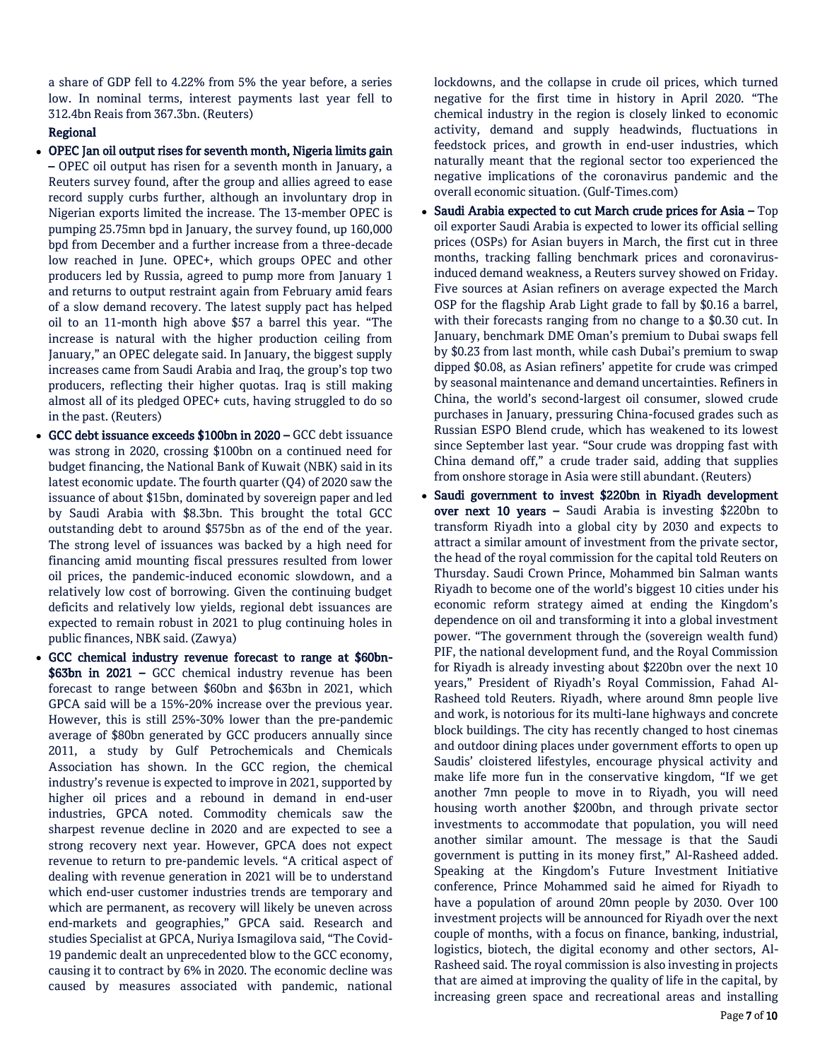a share of GDP fell to 4.22% from 5% the year before, a series low. In nominal terms, interest payments last year fell to 312.4bn Reais from 367.3bn. (Reuters)

# Regional

- OPEC Jan oil output rises for seventh month, Nigeria limits gain
- OPEC oil output has risen for a seventh month in January, a Reuters survey found, after the group and allies agreed to ease record supply curbs further, although an involuntary drop in Nigerian exports limited the increase. The 13-member OPEC is pumping 25.75mn bpd in January, the survey found, up 160,000 bpd from December and a further increase from a three-decade low reached in June. OPEC+, which groups OPEC and other producers led by Russia, agreed to pump more from January 1 and returns to output restraint again from February amid fears of a slow demand recovery. The latest supply pact has helped oil to an 11-month high above \$57 a barrel this year. "The increase is natural with the higher production ceiling from January," an OPEC delegate said. In January, the biggest supply increases came from Saudi Arabia and Iraq, the group's top two producers, reflecting their higher quotas. Iraq is still making almost all of its pledged OPEC+ cuts, having struggled to do so in the past. (Reuters)
- GCC debt issuance exceeds \$100bn in 2020 GCC debt issuance was strong in 2020, crossing \$100bn on a continued need for budget financing, the National Bank of Kuwait (NBK) said in its latest economic update. The fourth quarter (Q4) of 2020 saw the issuance of about \$15bn, dominated by sovereign paper and led by Saudi Arabia with \$8.3bn. This brought the total GCC outstanding debt to around \$575bn as of the end of the year. The strong level of issuances was backed by a high need for financing amid mounting fiscal pressures resulted from lower oil prices, the pandemic-induced economic slowdown, and a relatively low cost of borrowing. Given the continuing budget deficits and relatively low yields, regional debt issuances are expected to remain robust in 2021 to plug continuing holes in public finances, NBK said. (Zawya)
- GCC chemical industry revenue forecast to range at \$60bn- \$63bn in 2021 - GCC chemical industry revenue has been forecast to range between \$60bn and \$63bn in 2021, which GPCA said will be a 15%-20% increase over the previous year. However, this is still 25%-30% lower than the pre-pandemic average of \$80bn generated by GCC producers annually since 2011, a study by Gulf Petrochemicals and Chemicals Association has shown. In the GCC region, the chemical industry's revenue is expected to improve in 2021, supported by higher oil prices and a rebound in demand in end-user industries, GPCA noted. Commodity chemicals saw the sharpest revenue decline in 2020 and are expected to see a strong recovery next year. However, GPCA does not expect revenue to return to pre-pandemic levels. "A critical aspect of dealing with revenue generation in 2021 will be to understand which end-user customer industries trends are temporary and which are permanent, as recovery will likely be uneven across end-markets and geographies," GPCA said. Research and studies Specialist at GPCA, Nuriya Ismagilova said, "The Covid-19 pandemic dealt an unprecedented blow to the GCC economy, causing it to contract by 6% in 2020. The economic decline was caused by measures associated with pandemic, national

lockdowns, and the collapse in crude oil prices, which turned negative for the first time in history in April 2020. "The chemical industry in the region is closely linked to economic activity, demand and supply headwinds, fluctuations in feedstock prices, and growth in end-user industries, which naturally meant that the regional sector too experienced the negative implications of the coronavirus pandemic and the overall economic situation. (Gulf-Times.com)

- Saudi Arabia expected to cut March crude prices for Asia Top oil exporter Saudi Arabia is expected to lower its official selling prices (OSPs) for Asian buyers in March, the first cut in three months, tracking falling benchmark prices and coronavirusinduced demand weakness, a Reuters survey showed on Friday. Five sources at Asian refiners on average expected the March OSP for the flagship Arab Light grade to fall by \$0.16 a barrel, with their forecasts ranging from no change to a \$0.30 cut. In January, benchmark DME Oman's premium to Dubai swaps fell by \$0.23 from last month, while cash Dubai's premium to swap dipped \$0.08, as Asian refiners' appetite for crude was crimped by seasonal maintenance and demand uncertainties. Refiners in China, the world's second-largest oil consumer, slowed crude purchases in January, pressuring China-focused grades such as Russian ESPO Blend crude, which has weakened to its lowest since September last year. "Sour crude was dropping fast with China demand off," a crude trader said, adding that supplies from onshore storage in Asia were still abundant. (Reuters)
- Saudi government to invest \$220bn in Riyadh development over next 10 years – Saudi Arabia is investing \$220bn to transform Riyadh into a global city by 2030 and expects to attract a similar amount of investment from the private sector, the head of the royal commission for the capital told Reuters on Thursday. Saudi Crown Prince, Mohammed bin Salman wants Riyadh to become one of the world's biggest 10 cities under his economic reform strategy aimed at ending the Kingdom's dependence on oil and transforming it into a global investment power. "The government through the (sovereign wealth fund) PIF, the national development fund, and the Royal Commission for Riyadh is already investing about \$220bn over the next 10 years," President of Riyadh's Royal Commission, Fahad Al-Rasheed told Reuters. Riyadh, where around 8mn people live and work, is notorious for its multi-lane highways and concrete block buildings. The city has recently changed to host cinemas and outdoor dining places under government efforts to open up Saudis' cloistered lifestyles, encourage physical activity and make life more fun in the conservative kingdom, "If we get another 7mn people to move in to Riyadh, you will need housing worth another \$200bn, and through private sector investments to accommodate that population, you will need another similar amount. The message is that the Saudi government is putting in its money first," Al-Rasheed added. Speaking at the Kingdom's Future Investment Initiative conference, Prince Mohammed said he aimed for Riyadh to have a population of around 20mn people by 2030. Over 100 investment projects will be announced for Riyadh over the next couple of months, with a focus on finance, banking, industrial, logistics, biotech, the digital economy and other sectors, Al-Rasheed said. The royal commission is also investing in projects that are aimed at improving the quality of life in the capital, by increasing green space and recreational areas and installing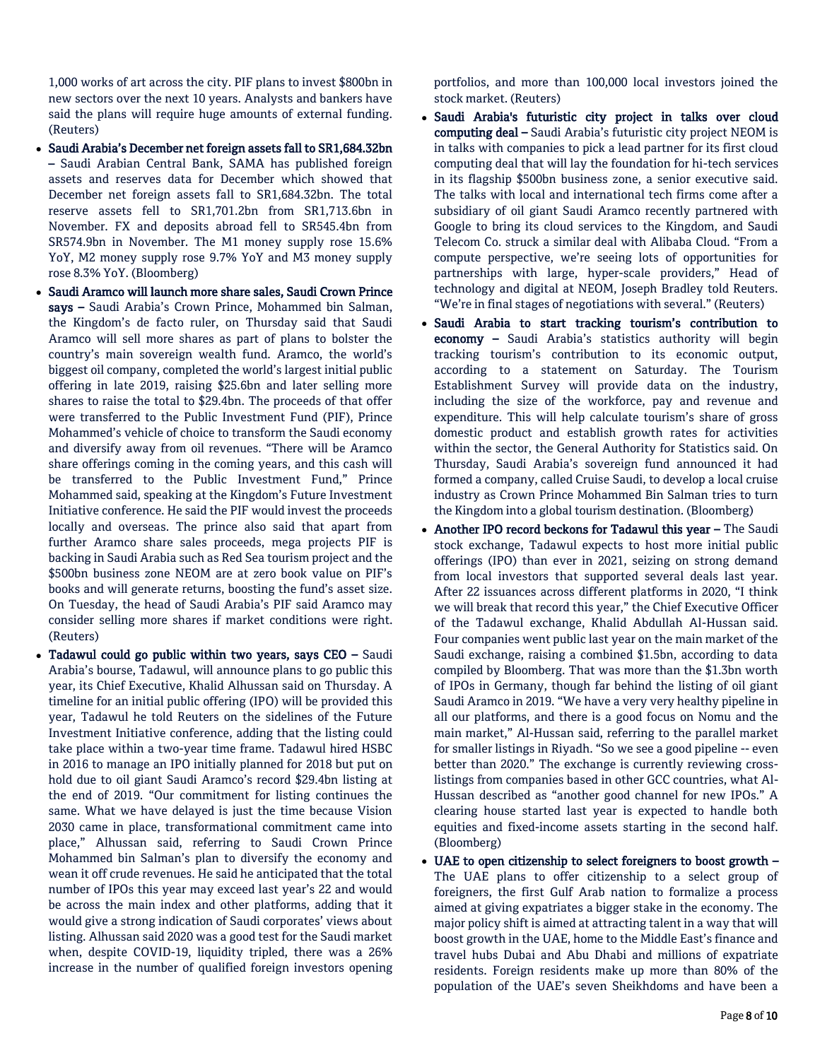1,000 works of art across the city. PIF plans to invest \$800bn in new sectors over the next 10 years. Analysts and bankers have said the plans will require huge amounts of external funding. (Reuters)

- Saudi Arabia's December net foreign assets fall to SR1,684.32bn – Saudi Arabian Central Bank, SAMA has published foreign assets and reserves data for December which showed that December net foreign assets fall to SR1,684.32bn. The total reserve assets fell to SR1,701.2bn from SR1,713.6bn in November. FX and deposits abroad fell to SR545.4bn from SR574.9bn in November. The M1 money supply rose 15.6% YoY, M2 money supply rose 9.7% YoY and M3 money supply rose 8.3% YoY. (Bloomberg)
- Saudi Aramco will launch more share sales, Saudi Crown Prince says – Saudi Arabia's Crown Prince, Mohammed bin Salman, the Kingdom's de facto ruler, on Thursday said that Saudi Aramco will sell more shares as part of plans to bolster the country's main sovereign wealth fund. Aramco, the world's biggest oil company, completed the world's largest initial public offering in late 2019, raising \$25.6bn and later selling more shares to raise the total to \$29.4bn. The proceeds of that offer were transferred to the Public Investment Fund (PIF), Prince Mohammed's vehicle of choice to transform the Saudi economy and diversify away from oil revenues. "There will be Aramco share offerings coming in the coming years, and this cash will be transferred to the Public Investment Fund," Prince Mohammed said, speaking at the Kingdom's Future Investment Initiative conference. He said the PIF would invest the proceeds locally and overseas. The prince also said that apart from further Aramco share sales proceeds, mega projects PIF is backing in Saudi Arabia such as Red Sea tourism project and the \$500bn business zone NEOM are at zero book value on PIF's books and will generate returns, boosting the fund's asset size. On Tuesday, the head of Saudi Arabia's PIF said Aramco may consider selling more shares if market conditions were right. (Reuters)
- Tadawul could go public within two years, says CEO Saudi Arabia's bourse, Tadawul, will announce plans to go public this year, its Chief Executive, Khalid Alhussan said on Thursday. A timeline for an initial public offering (IPO) will be provided this year, Tadawul he told Reuters on the sidelines of the Future Investment Initiative conference, adding that the listing could take place within a two-year time frame. Tadawul hired HSBC in 2016 to manage an IPO initially planned for 2018 but put on hold due to oil giant Saudi Aramco's record \$29.4bn listing at the end of 2019. "Our commitment for listing continues the same. What we have delayed is just the time because Vision 2030 came in place, transformational commitment came into place," Alhussan said, referring to Saudi Crown Prince Mohammed bin Salman's plan to diversify the economy and wean it off crude revenues. He said he anticipated that the total number of IPOs this year may exceed last year's 22 and would be across the main index and other platforms, adding that it would give a strong indication of Saudi corporates' views about listing. Alhussan said 2020 was a good test for the Saudi market when, despite COVID-19, liquidity tripled, there was a 26% increase in the number of qualified foreign investors opening

portfolios, and more than 100,000 local investors joined the stock market. (Reuters)

- Saudi Arabia's futuristic city project in talks over cloud computing deal – Saudi Arabia's futuristic city project NEOM is in talks with companies to pick a lead partner for its first cloud computing deal that will lay the foundation for hi-tech services in its flagship \$500bn business zone, a senior executive said. The talks with local and international tech firms come after a subsidiary of oil giant Saudi Aramco recently partnered with Google to bring its cloud services to the Kingdom, and Saudi Telecom Co. struck a similar deal with Alibaba Cloud. "From a compute perspective, we're seeing lots of opportunities for partnerships with large, hyper-scale providers," Head of technology and digital at NEOM, Joseph Bradley told Reuters. "We're in final stages of negotiations with several." (Reuters)
- Saudi Arabia to start tracking tourism's contribution to economy – Saudi Arabia's statistics authority will begin tracking tourism's contribution to its economic output, according to a statement on Saturday. The Tourism Establishment Survey will provide data on the industry, including the size of the workforce, pay and revenue and expenditure. This will help calculate tourism's share of gross domestic product and establish growth rates for activities within the sector, the General Authority for Statistics said. On Thursday, Saudi Arabia's sovereign fund announced it had formed a company, called Cruise Saudi, to develop a local cruise industry as Crown Prince Mohammed Bin Salman tries to turn the Kingdom into a global tourism destination. (Bloomberg)
- Another IPO record beckons for Tadawul this year The Saudi stock exchange, Tadawul expects to host more initial public offerings (IPO) than ever in 2021, seizing on strong demand from local investors that supported several deals last year. After 22 issuances across different platforms in 2020, "I think we will break that record this year," the Chief Executive Officer of the Tadawul exchange, Khalid Abdullah Al-Hussan said. Four companies went public last year on the main market of the Saudi exchange, raising a combined \$1.5bn, according to data compiled by Bloomberg. That was more than the \$1.3bn worth of IPOs in Germany, though far behind the listing of oil giant Saudi Aramco in 2019. "We have a very very healthy pipeline in all our platforms, and there is a good focus on Nomu and the main market," Al-Hussan said, referring to the parallel market for smaller listings in Riyadh. "So we see a good pipeline -- even better than 2020." The exchange is currently reviewing crosslistings from companies based in other GCC countries, what Al-Hussan described as "another good channel for new IPOs." A clearing house started last year is expected to handle both equities and fixed-income assets starting in the second half. (Bloomberg)
- UAE to open citizenship to select foreigners to boost growth The UAE plans to offer citizenship to a select group of foreigners, the first Gulf Arab nation to formalize a process aimed at giving expatriates a bigger stake in the economy. The major policy shift is aimed at attracting talent in a way that will boost growth in the UAE, home to the Middle East's finance and travel hubs Dubai and Abu Dhabi and millions of expatriate residents. Foreign residents make up more than 80% of the population of the UAE's seven Sheikhdoms and have been a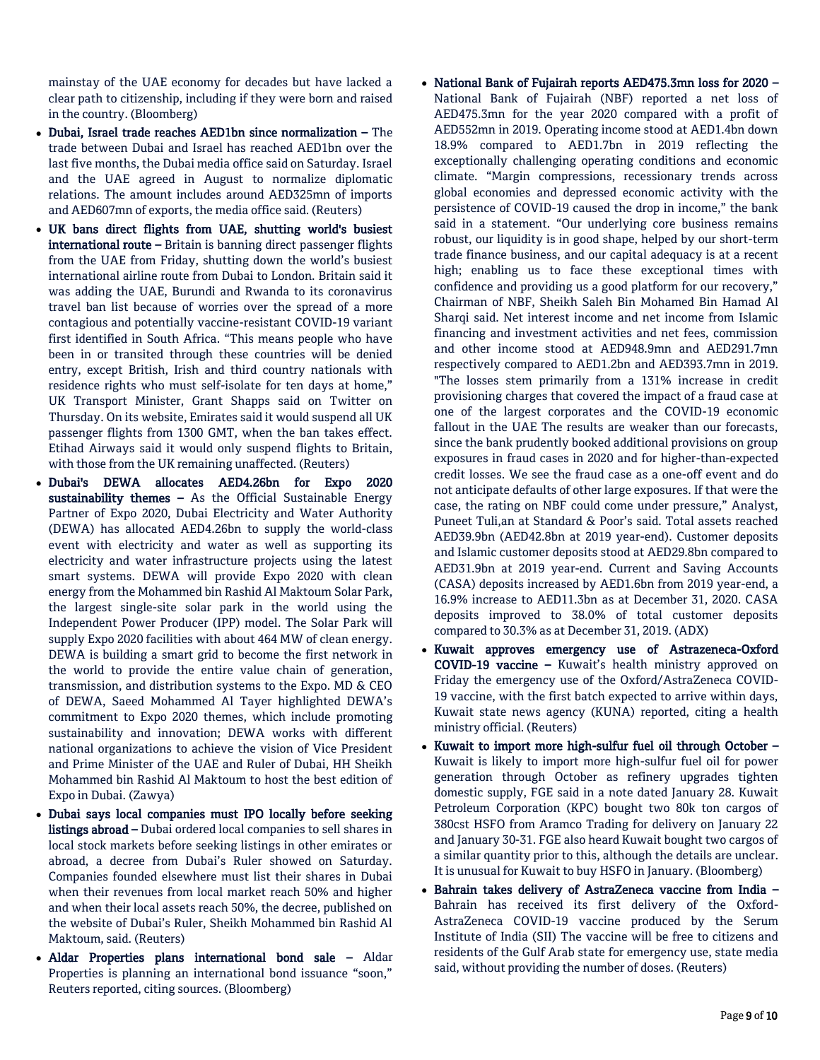mainstay of the UAE economy for decades but have lacked a clear path to citizenship, including if they were born and raised in the country. (Bloomberg)

- Dubai, Israel trade reaches AED1bn since normalization The trade between Dubai and Israel has reached AED1bn over the last five months, the Dubai media office said on Saturday. Israel and the UAE agreed in August to normalize diplomatic relations. The amount includes around AED325mn of imports and AED607mn of exports, the media office said. (Reuters)
- UK bans direct flights from UAE, shutting world's busiest international route – Britain is banning direct passenger flights from the UAE from Friday, shutting down the world's busiest international airline route from Dubai to London. Britain said it was adding the UAE, Burundi and Rwanda to its coronavirus travel ban list because of worries over the spread of a more contagious and potentially vaccine-resistant COVID-19 variant first identified in South Africa. "This means people who have been in or transited through these countries will be denied entry, except British, Irish and third country nationals with residence rights who must self-isolate for ten days at home," UK Transport Minister, Grant Shapps said on Twitter on Thursday. On its website, Emirates said it would suspend all UK passenger flights from 1300 GMT, when the ban takes effect. Etihad Airways said it would only suspend flights to Britain, with those from the UK remaining unaffected. (Reuters)
- Dubai's DEWA allocates AED4.26bn for Expo 2020 sustainability themes - As the Official Sustainable Energy Partner of Expo 2020, Dubai Electricity and Water Authority (DEWA) has allocated AED4.26bn to supply the world-class event with electricity and water as well as supporting its electricity and water infrastructure projects using the latest smart systems. DEWA will provide Expo 2020 with clean energy from the Mohammed bin Rashid Al Maktoum Solar Park, the largest single-site solar park in the world using the Independent Power Producer (IPP) model. The Solar Park will supply Expo 2020 facilities with about 464 MW of clean energy. DEWA is building a smart grid to become the first network in the world to provide the entire value chain of generation, transmission, and distribution systems to the Expo. MD & CEO of DEWA, Saeed Mohammed Al Tayer highlighted DEWA's commitment to Expo 2020 themes, which include promoting sustainability and innovation; DEWA works with different national organizations to achieve the vision of Vice President and Prime Minister of the UAE and Ruler of Dubai, HH Sheikh Mohammed bin Rashid Al Maktoum to host the best edition of Expo in Dubai. (Zawya)
- Dubai says local companies must IPO locally before seeking listings abroad – Dubai ordered local companies to sell shares in local stock markets before seeking listings in other emirates or abroad, a decree from Dubai's Ruler showed on Saturday. Companies founded elsewhere must list their shares in Dubai when their revenues from local market reach 50% and higher and when their local assets reach 50%, the decree, published on the website of Dubai's Ruler, Sheikh Mohammed bin Rashid Al Maktoum, said. (Reuters)
- Aldar Properties plans international bond sale Aldar Properties is planning an international bond issuance "soon," Reuters reported, citing sources. (Bloomberg)
- National Bank of Fujairah reports AED475.3mn loss for 2020 National Bank of Fujairah (NBF) reported a net loss of AED475.3mn for the year 2020 compared with a profit of AED552mn in 2019. Operating income stood at AED1.4bn down 18.9% compared to AED1.7bn in 2019 reflecting the exceptionally challenging operating conditions and economic climate. "Margin compressions, recessionary trends across global economies and depressed economic activity with the persistence of COVID-19 caused the drop in income," the bank said in a statement. "Our underlying core business remains robust, our liquidity is in good shape, helped by our short-term trade finance business, and our capital adequacy is at a recent high; enabling us to face these exceptional times with confidence and providing us a good platform for our recovery," Chairman of NBF, Sheikh Saleh Bin Mohamed Bin Hamad Al Sharqi said. Net interest income and net income from Islamic financing and investment activities and net fees, commission and other income stood at AED948.9mn and AED291.7mn respectively compared to AED1.2bn and AED393.7mn in 2019. "The losses stem primarily from a 131% increase in credit provisioning charges that covered the impact of a fraud case at one of the largest corporates and the COVID-19 economic fallout in the UAE The results are weaker than our forecasts, since the bank prudently booked additional provisions on group exposures in fraud cases in 2020 and for higher-than-expected credit losses. We see the fraud case as a one-off event and do not anticipate defaults of other large exposures. If that were the case, the rating on NBF could come under pressure," Analyst, Puneet Tuli,an at Standard & Poor's said. Total assets reached AED39.9bn (AED42.8bn at 2019 year-end). Customer deposits and Islamic customer deposits stood at AED29.8bn compared to AED31.9bn at 2019 year-end. Current and Saving Accounts (CASA) deposits increased by AED1.6bn from 2019 year-end, a 16.9% increase to AED11.3bn as at December 31, 2020. CASA deposits improved to 38.0% of total customer deposits compared to 30.3% as at December 31, 2019. (ADX)
- Kuwait approves emergency use of Astrazeneca-Oxford COVID-19 vaccine – Kuwait's health ministry approved on Friday the emergency use of the Oxford/AstraZeneca COVID-19 vaccine, with the first batch expected to arrive within days, Kuwait state news agency (KUNA) reported, citing a health ministry official. (Reuters)
- Kuwait to import more high-sulfur fuel oil through October Kuwait is likely to import more high-sulfur fuel oil for power generation through October as refinery upgrades tighten domestic supply, FGE said in a note dated January 28. Kuwait Petroleum Corporation (KPC) bought two 80k ton cargos of 380cst HSFO from Aramco Trading for delivery on January 22 and January 30-31. FGE also heard Kuwait bought two cargos of a similar quantity prior to this, although the details are unclear. It is unusual for Kuwait to buy HSFO in January. (Bloomberg)
- Bahrain takes delivery of AstraZeneca vaccine from India Bahrain has received its first delivery of the Oxford-AstraZeneca COVID-19 vaccine produced by the Serum Institute of India (SII) The vaccine will be free to citizens and residents of the Gulf Arab state for emergency use, state media said, without providing the number of doses. (Reuters)